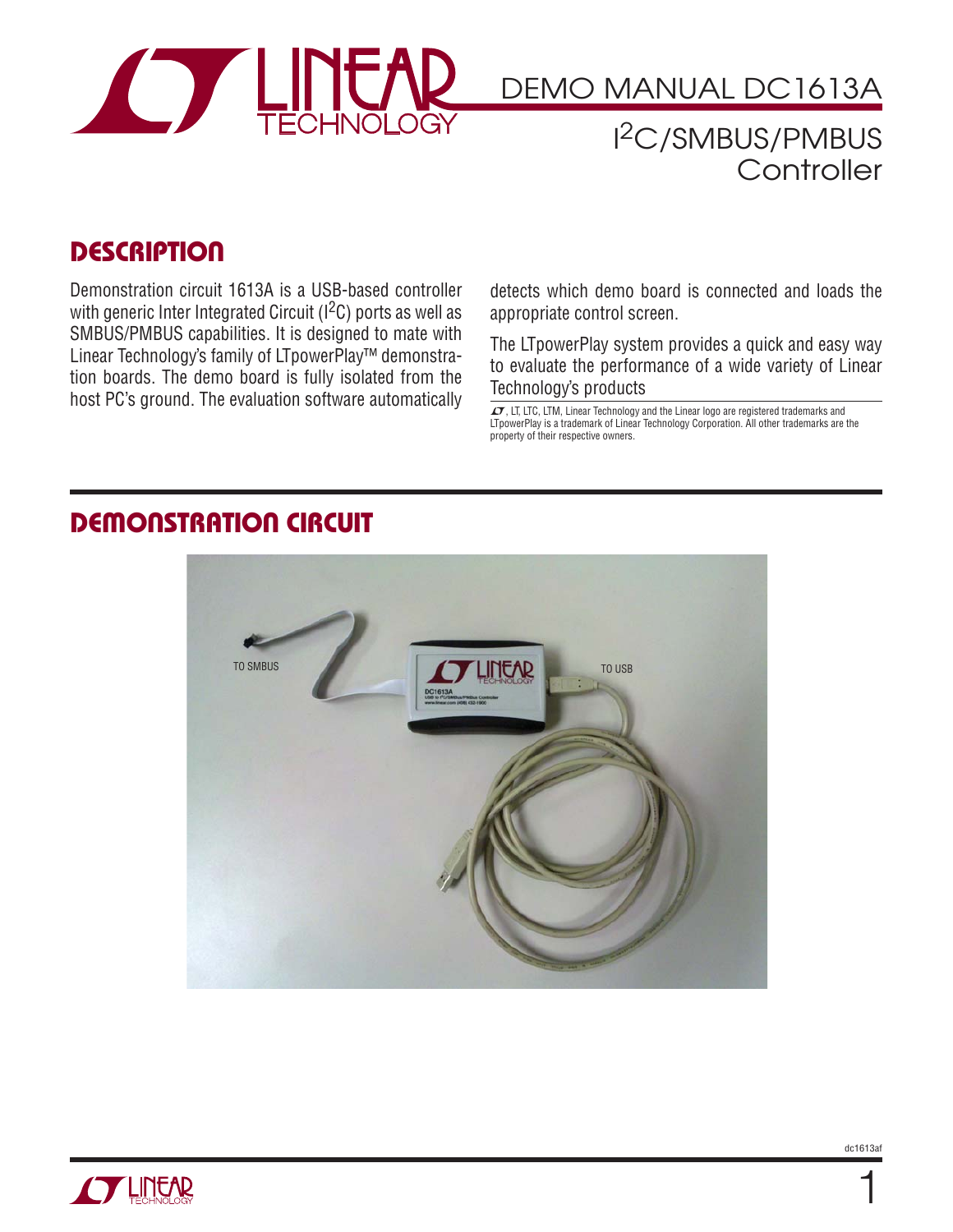

# DEMO MANUAL DC1613A

I 2C/SMBUS/PMBUS **Controller** 

#### **DESCRIPTION**

Demonstration circuit 1613A is a USB-based controller with generic Inter Integrated Circuit  $(1^2C)$  ports as well as SMBUS/PMBUS capabilities. It is designed to mate with Linear Technology's family of LTpowerPlay™ demonstration boards. The demo board is fully isolated from the host PC's ground. The evaluation software automatically host PC's ground. The evaluation software automatically  $\frac{1}{\sigma}$ , LT, LTC, LTM, Linear Technology and the Linear logo are registered trademarks and

detects which demo board is connected and loads the appropriate control screen.

The LTpowerPlay system provides a quick and easy way to evaluate the performance of a wide variety of Linear Technology's products

LTpowerPlay is a trademark of Linear Technology Corporation. All other trademarks are the property of their respective owners.

### **DEMONSTRATION CIRCUIT**





1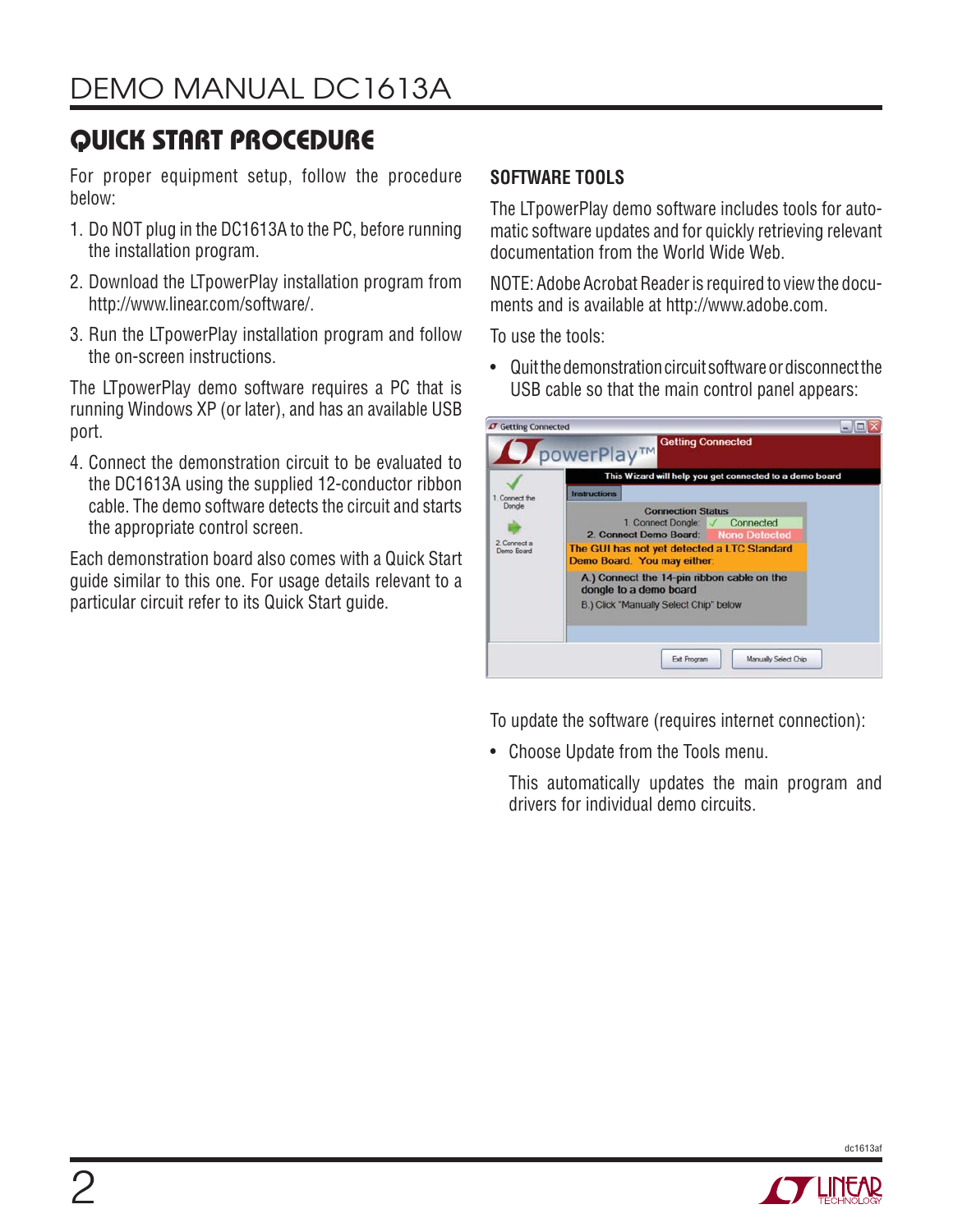# **QUICK START PROCEDURE**

For proper equipment setup, follow the procedure below:

- 1. Do NOT plug in the DC1613A to the PC, before running the installation program.
- 2. Download the LTpowerPlay installation program from http://www.linear.com/software/.
- 3. Run the LTpowerPlay installation program and follow the on-screen instructions.

The LTpowerPlay demo software requires a PC that is running Windows XP (or later), and has an available USB port.

4. Connect the demonstration circuit to be evaluated to the DC1613A using the supplied 12-conductor ribbon cable. The demo software detects the circuit and starts the appropriate control screen.

Each demonstration board also comes with a Quick Start guide similar to this one. For usage details relevant to a particular circuit refer to its Quick Start guide.

#### **SOFTWARE TOOLS**

The LTpowerPlay demo software includes tools for automatic software updates and for quickly retrieving relevant documentation from the World Wide Web.

NOTE: Adobe Acrobat Reader is required to view the documents and is available at http://www.adobe.com.

To use the tools:

• Quit the demonstration circuit software or disconnect the USB cable so that the main control panel appears:

| 1. Connect the<br>Dongle<br>2. Connect a<br>Demo Board | This Wizard will help you get connected to a demo board                                                            |
|--------------------------------------------------------|--------------------------------------------------------------------------------------------------------------------|
|                                                        | <b>Instructions</b><br><b>Connection Status</b><br>1. Connect Dongle: / Connected                                  |
|                                                        | 2. Connect Demo Board: None Detected<br>The GUI has not yet detected a LTC Standard<br>Demo Board. You may either: |
|                                                        | A.) Connect the 14-pin ribbon cable on the<br>dongle to a demo board<br>B.) Click "Manually Select Chip" below     |

To update the software (requires internet connection):

• Choose Update from the Tools menu.

This automatically updates the main program and drivers for individual demo circuits.



dc1613af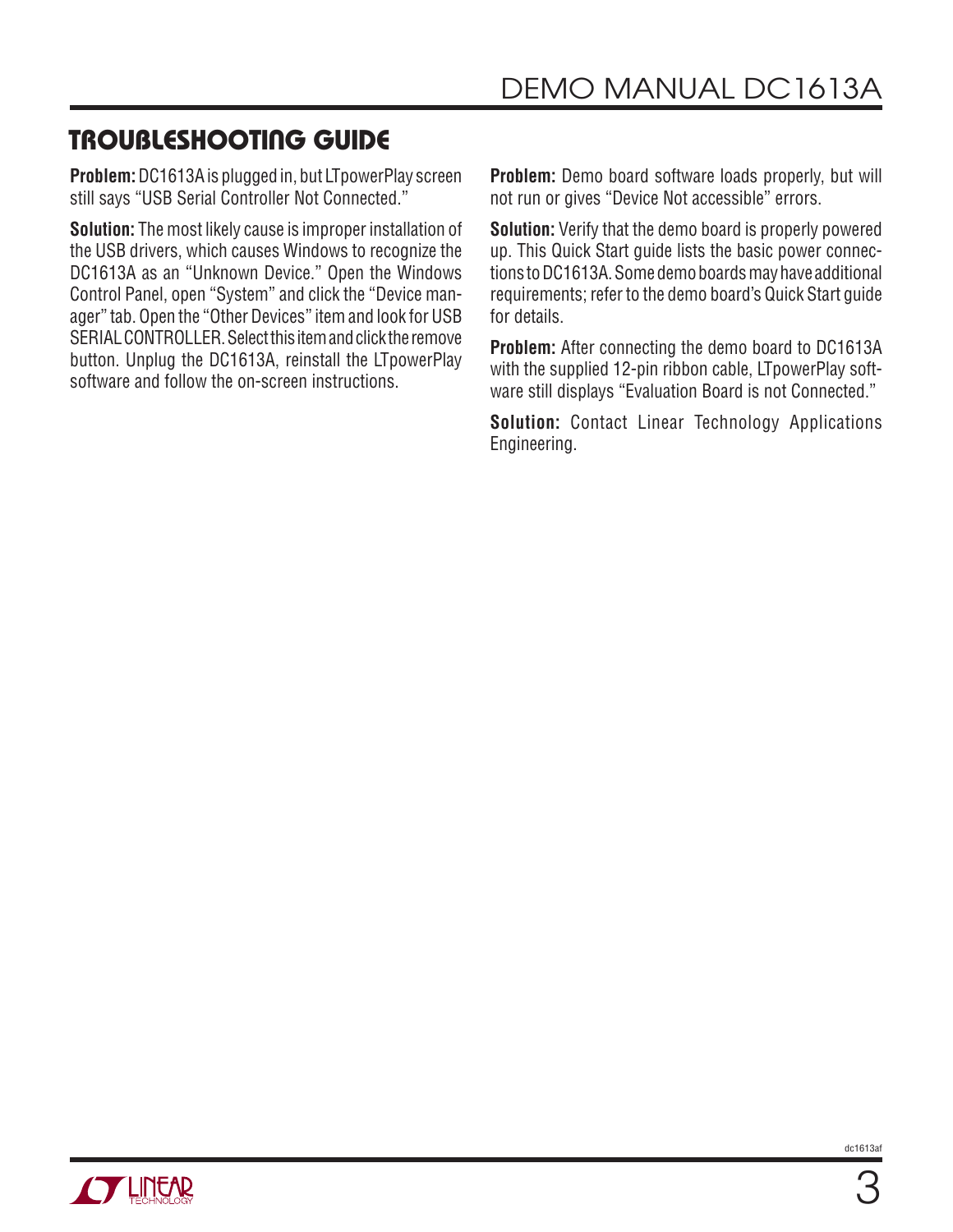### **TROUBLESHOOTING GUIDE**

**Problem:** DC1613A is plugged in, but LTpowerPlay screen still says "USB Serial Controller Not Connected."

**Solution:** The most likely cause is improper installation of the USB drivers, which causes Windows to recognize the DC1613A as an "Unknown Device." Open the Windows Control Panel, open "System" and click the "Device manager" tab. Open the "Other Devices" item and look for USB SERIAL CONTROLLER. Select this item and click the remove button. Unplug the DC1613A, reinstall the LTpowerPlay software and follow the on-screen instructions.

**Problem:** Demo board software loads properly, but will not run or gives "Device Not accessible" errors.

**Solution:** Verify that the demo board is properly powered up. This Quick Start guide lists the basic power connections to DC1613A. Some demo boards may have additional requirements; refer to the demo board's Quick Start guide for details.

**Problem:** After connecting the demo board to DC1613A with the supplied 12-pin ribbon cable, LTpowerPlay software still displays "Evaluation Board is not Connected."

**Solution:** Contact Linear Technology Applications Engineering.

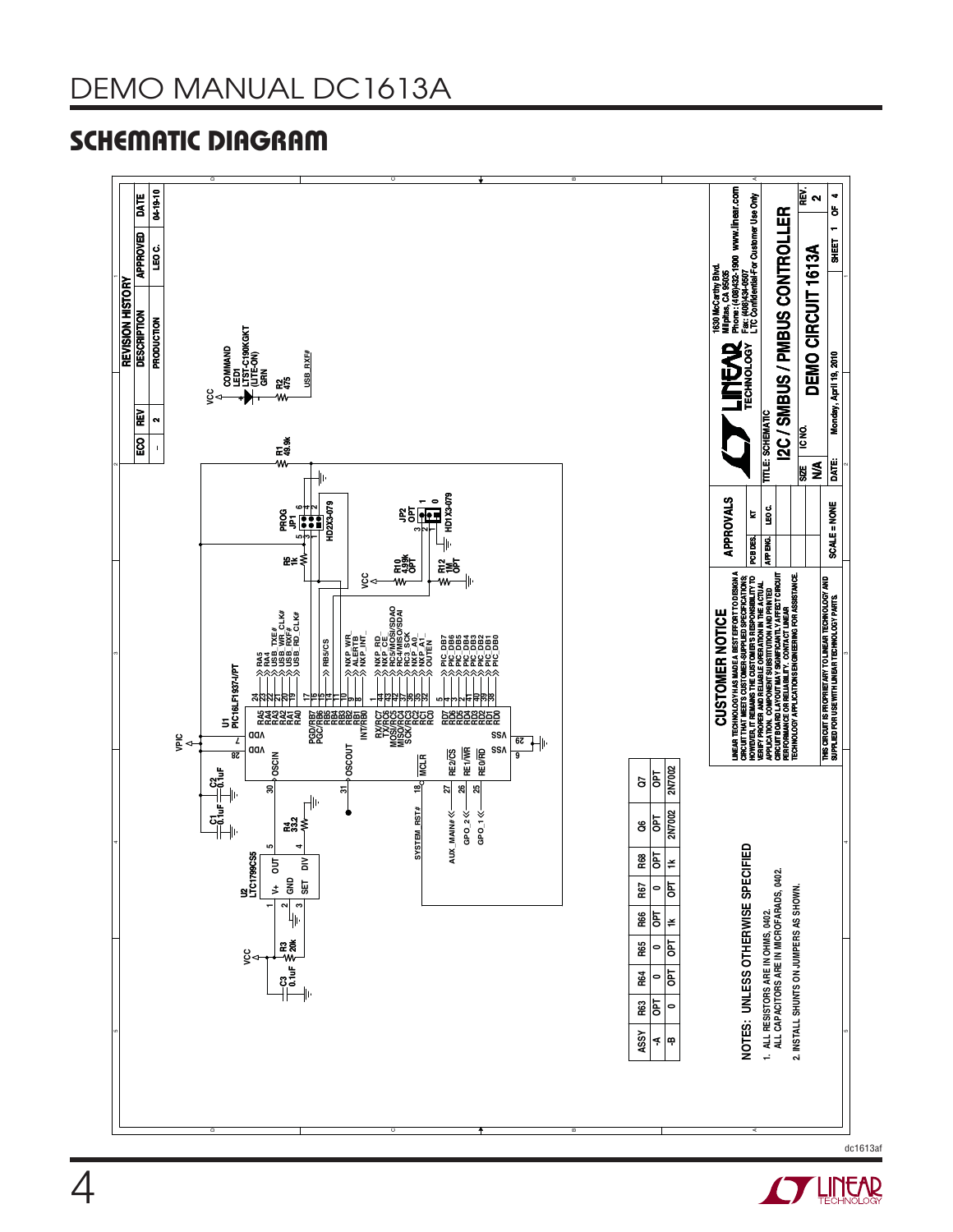

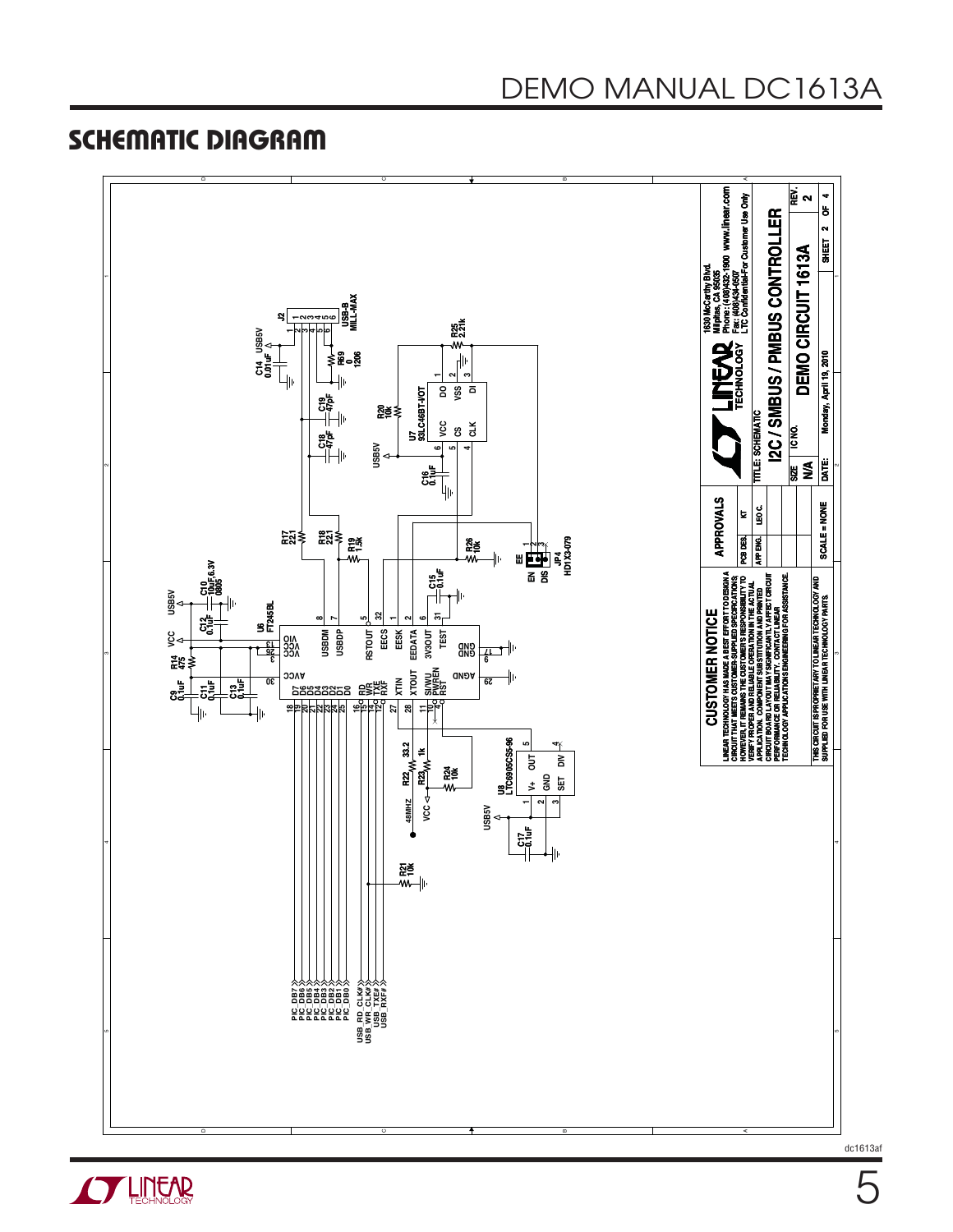

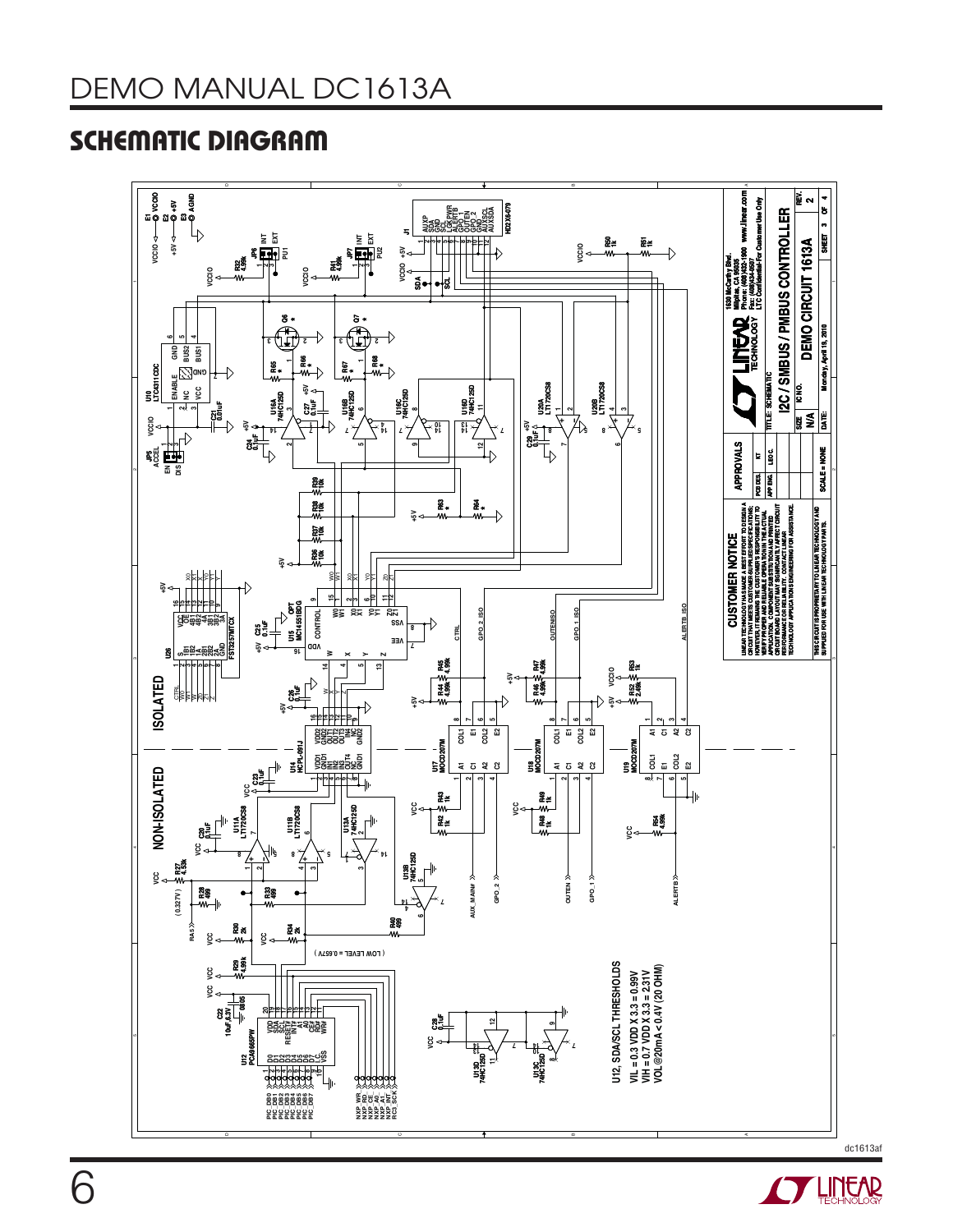

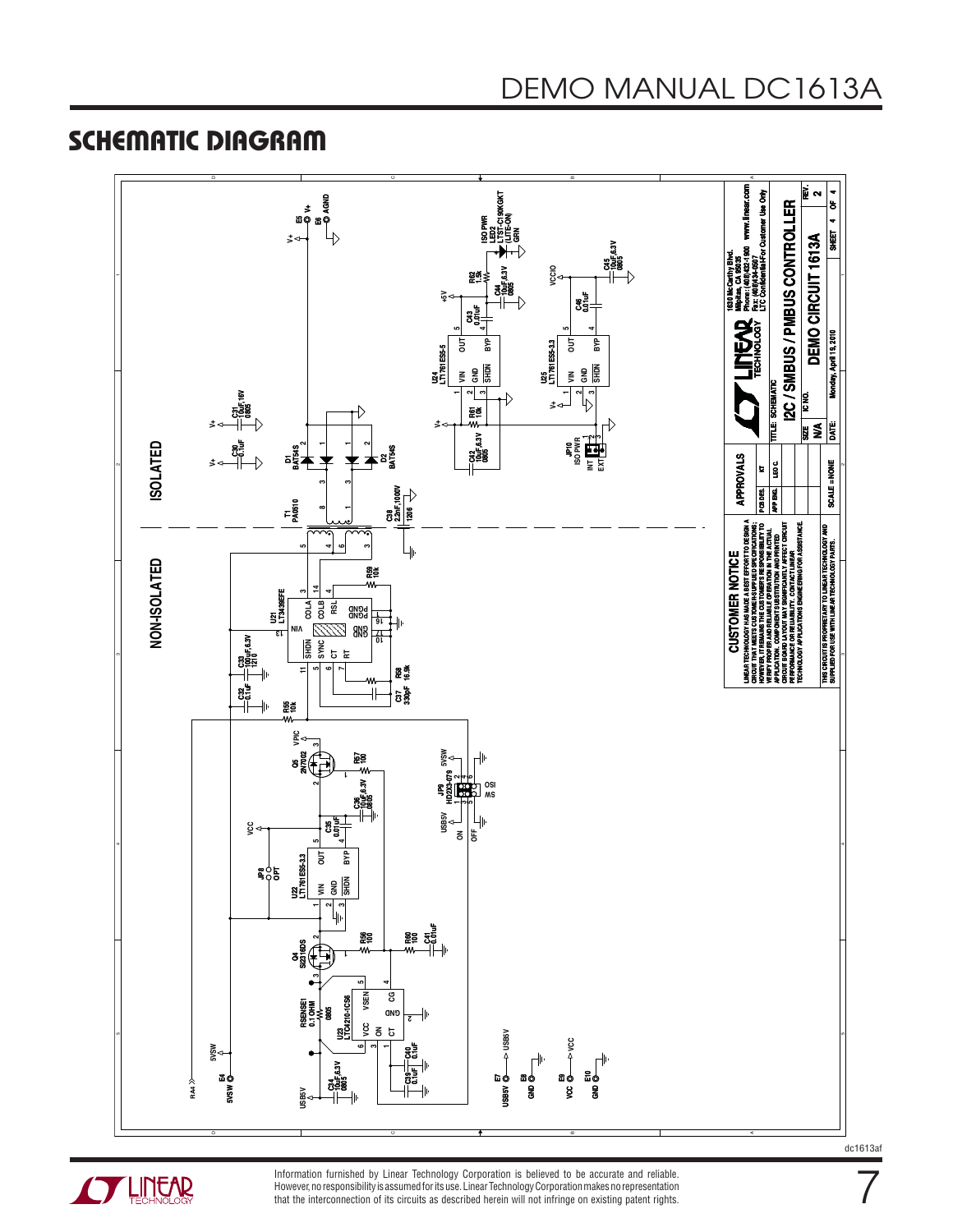



Information furnished by Linear Technology Corporation is believed to be accurate and reliable. However, no responsibility is assumed for its use. Linear Technology Corporation makes no representation that the interconnection of its circuits as described herein will not infringe on existing patent rights.

dc1613af

7